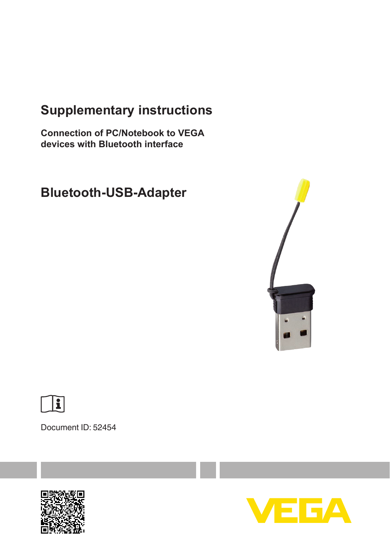# **Supplementary instructions**

**Connection of PC/Notebook to VEGA devices with Bluetooth interface**

# **Bluetooth-USB-Adapter**





Document ID: 52454



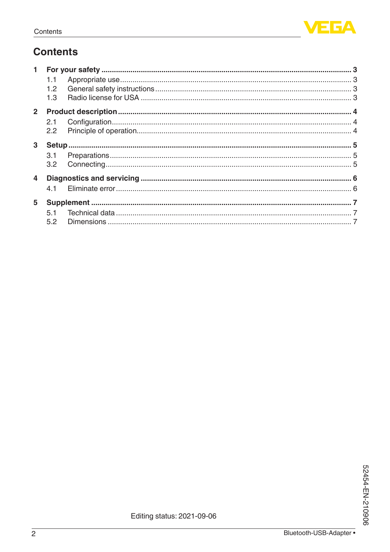

# **Contents**

| 1.1           |                                   |     |
|---------------|-----------------------------------|-----|
|               |                                   |     |
|               |                                   |     |
|               |                                   |     |
|               |                                   |     |
| $2.2^{\circ}$ |                                   |     |
|               |                                   |     |
| 3.1           |                                   |     |
|               |                                   |     |
|               |                                   |     |
|               |                                   |     |
|               |                                   |     |
|               |                                   |     |
| 5.1           |                                   |     |
| 5.2           |                                   |     |
|               | 1.2<br>1.3<br>3<br>$\overline{4}$ | 4.1 |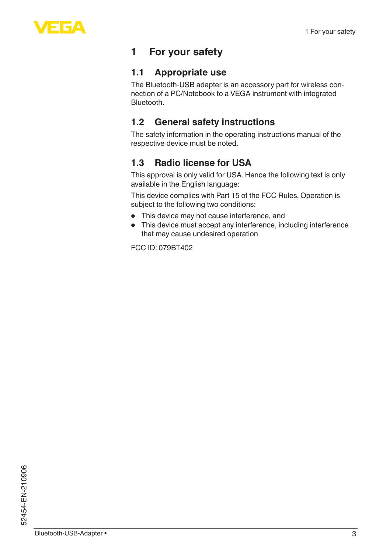

## <span id="page-2-0"></span>**1 For your safety**

#### <span id="page-2-1"></span>**1.1 Appropriate use**

The Bluetooth-USB adapter is an accessory part for wireless connection of a PC/Notebook to a VEGA instrument with integrated Bluetooth.

#### **1.2 General safety instructions**

<span id="page-2-2"></span>The safety information in the operating instructions manual of the respective device must be noted.

### <span id="page-2-3"></span>**1.3 Radio license for USA**

This approval is only valid for USA. Hence the following text is only available in the English language:

This device complies with Part 15 of the FCC Rules. Operation is subject to the following two conditions:

- This device may not cause interference, and
- This device must accept any interference, including interference that may cause undesired operation

FCC ID: 079BT402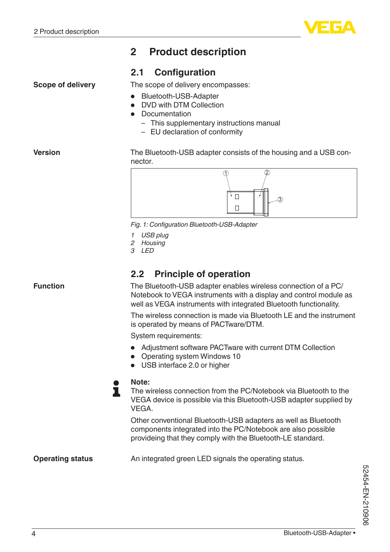**Scope of delivery**

<span id="page-3-1"></span><span id="page-3-0"></span>

### **2 Product description**

#### **2.1 Configuration**

The scope of delivery encompasses:

- Bluetooth-USB-Adapter
- DVD with DTM Collection
- Documentation
	- This supplementary instructions manual
	- EU declaration of conformity

The Bluetooth-USB adapter consists of the housing and a USB connector.



*Fig. 1: Configuration Bluetooth-USB-Adapter*

- *1 USB plug*
- *2 Housing*
- *3 LED*

#### <span id="page-3-2"></span>**2.2 Principle of operation**

**Function**

**Version**

The Bluetooth-USB adapter enables wireless connection of a PC/ Notebook to VEGA instruments with a display and control module as well as VEGA instruments with integrated Bluetooth functionality.

The wireless connection is made via Bluetooth LE and the instrument is operated by means of PACTware/DTM.

System requirements:

- Adjustment software PACTware with current DTM Collection
- Operating system Windows <sup>10</sup>
- USB interface 2.0 or higher



The wireless connection from the PC/Notebook via Bluetooth to the VEGA device is possible via this Bluetooth-USB adapter supplied by VEGA.

Other conventional Bluetooth-USB adapters as well as Bluetooth components integrated into the PC/Notebook are also possible provideing that they comply with the Bluetooth-LE standard.

#### **Operating status**

An integrated green LED signals the operating status.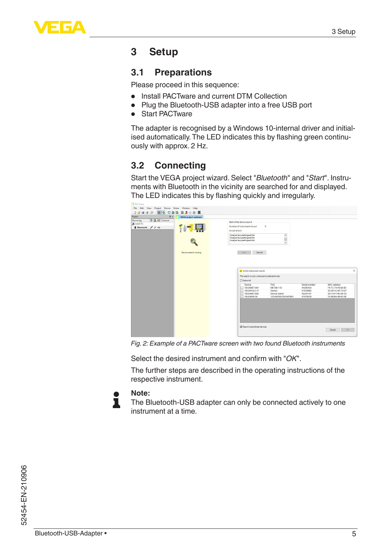

## <span id="page-4-0"></span>**3 Setup**

#### <span id="page-4-1"></span>**3.1 Preparations**

Please proceed in this sequence:

- Install PACTware and current DTM Collection<br>• Plug the Bluetooth-USB adapter into a free U
- Plug the Bluetooth-USB adapter into <sup>a</sup> free USB port
- Start PACTware

The adapter is recognised by a Windows 10-internal driver and initialised automatically.The LED indicates this by flashing green continuously with approx. 2 Hz.

### <span id="page-4-2"></span>**3.2 Connecting**

Start the VEGA project wizard. Select "*Bluetooth*" and "*Start*". Instruments with Bluetooth in the vicinity are searched for and displayed. The LED indicates this by flashing quickly and irregularly.

| <b>B</b> PACTANIE<br>File Edit View<br>Project Device Extras Window Help<br>999 田永忠 卓永永 国<br>DBHGB-<br>Project<br>$R \times$<br><b>VEGA project assistant</b> |                                                                                                                                                                                                                                                                                                                                        |                                                                                                 |
|---------------------------------------------------------------------------------------------------------------------------------------------------------------|----------------------------------------------------------------------------------------------------------------------------------------------------------------------------------------------------------------------------------------------------------------------------------------------------------------------------------------|-------------------------------------------------------------------------------------------------|
| <b>0 显赫 Channel</b><br>Device tag<br><b>AB</b> HOST PC<br>$*$ Bluetooth $*$ + $*$<br>Device search running                                                    | Start of the device search<br>Number of instruments found<br>$\circ$<br>Actual action:<br>Analyze bus participant list<br>$\hat{\phantom{a}}$<br>Analyze bus participant list<br>ī<br>Analyze bus participant list<br>$\checkmark$<br>Start<br>Cancel<br>53 Limit instrument search<br>The search is only continued at selected knots. | $\times$                                                                                        |
|                                                                                                                                                               | □ Select all<br>TAG<br>Device<br>Serial number<br>T VEGAMET 861<br>METR61-TD<br>44290430<br>U VEGAPLES 31<br>47930862<br>Sergon<br>VEGAMET 862<br>Device Name<br>45204101<br>T VEGABAR 38<br>1234567891234567891<br>47876039                                                                                                           | MAC address<br>F4-7C-74-F8-85-B3<br>E2-09-1C-8F-70-D7<br>EA-74-F7-B3-2E-35<br>F2-68-84-96-60-3B |
|                                                                                                                                                               | F Search subordinate devices                                                                                                                                                                                                                                                                                                           | OK<br>Cancel                                                                                    |

*Fig. 2: Example of a PACTware screen with two found Bluetooth instruments*

Select the desired instrument and confirm with "*OK*".

The further steps are described in the operating instructions of the respective instrument.



#### **Note:**

The Bluetooth-USB adapter can only be connected actively to one instrument at a time.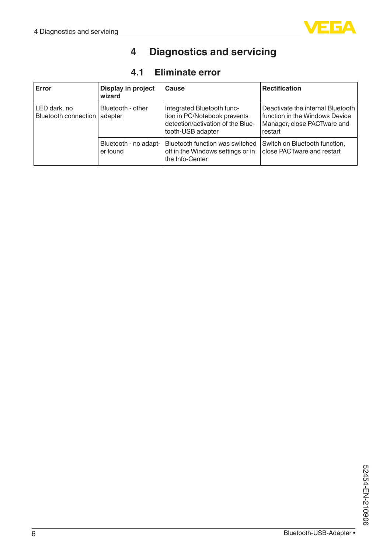<span id="page-5-1"></span><span id="page-5-0"></span>

## **4 Diagnostics and servicing**

## **4.1 Eliminate error**

| Error                                          | Display in project<br>wizard      | Cause                                                                                                                | <b>Rectification</b>                                                                                          |
|------------------------------------------------|-----------------------------------|----------------------------------------------------------------------------------------------------------------------|---------------------------------------------------------------------------------------------------------------|
| LED dark, no<br>Bluetooth connection   adapter | Bluetooth - other                 | Integrated Bluetooth func-<br>tion in PC/Notebook prevents<br>detection/activation of the Blue-<br>tooth-USB adapter | Deactivate the internal Bluetooth<br>function in the Windows Device<br>Manager, close PACTware and<br>restart |
|                                                | Bluetooth - no adapt-<br>er found | Bluetooth function was switched<br>off in the Windows settings or in<br>the Info-Center                              | Switch on Bluetooth function,<br>close PACTware and restart                                                   |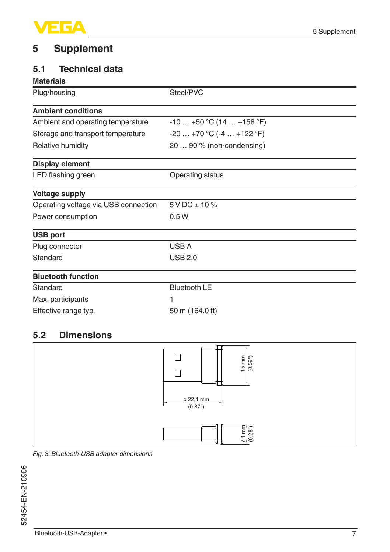

### <span id="page-6-0"></span>**5 Supplement**

### <span id="page-6-1"></span>**5.1 Technical data**

#### **Materials**

| Plug/housing                         | Steel/PVC                 |  |  |
|--------------------------------------|---------------------------|--|--|
| <b>Ambient conditions</b>            |                           |  |  |
| Ambient and operating temperature    | $-10+50$ °C (14  +158 °F) |  |  |
| Storage and transport temperature    | $-20+70$ °C (-4  +122 °F) |  |  |
| Relative humidity                    | 20  90 % (non-condensing) |  |  |
| Display element                      |                           |  |  |
| LED flashing green                   | Operating status          |  |  |
| <b>Voltage supply</b>                |                           |  |  |
| Operating voltage via USB connection | $5VDC \pm 10\%$           |  |  |
| Power consumption                    | 0.5W                      |  |  |
| <b>USB port</b>                      |                           |  |  |
| Plug connector                       | USB A                     |  |  |
| Standard                             | <b>USB 2.0</b>            |  |  |
| <b>Bluetooth function</b>            |                           |  |  |
| Standard                             | <b>Bluetooth LE</b>       |  |  |
| Max. participants                    | 1                         |  |  |
| Effective range typ.                 | 50 m (164.0 ft)           |  |  |

### <span id="page-6-2"></span>**5.2 Dimensions**



*Fig. 3: Bluetooth-USB adapter dimensions*